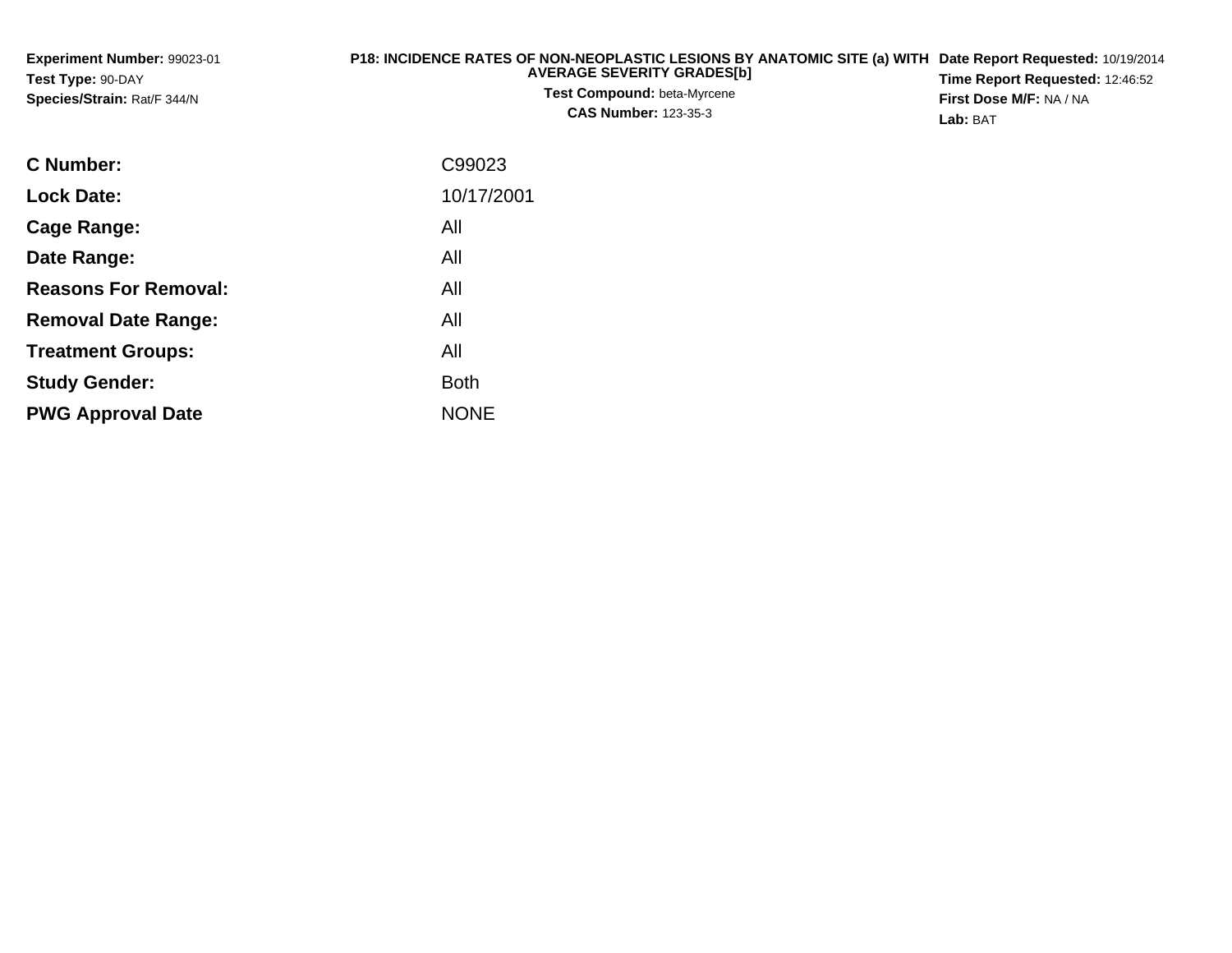| <b>Experiment Number: 99023-01</b>               | P18: INCIDENCE RATES OF NON-NEOPLASTIC LESIONS BY ANATOMIC SITE (a) WITH Date Report Requested: 10/19/2014 |                                                                          |  |
|--------------------------------------------------|------------------------------------------------------------------------------------------------------------|--------------------------------------------------------------------------|--|
| Test Type: 90-DAY<br>Species/Strain: Rat/F 344/N | <b>AVERAGE SEVERITY GRADESINI</b><br><b>Test Compound:</b> beta-Myrcene<br><b>CAS Number: 123-35-3</b>     | <b>Time Report Requested: 12:46:52</b><br><b>First Dose M/F: NA / NA</b> |  |
|                                                  |                                                                                                            | Lab: BAT                                                                 |  |

| <b>C Number:</b>            | C99023      |
|-----------------------------|-------------|
| <b>Lock Date:</b>           | 10/17/2001  |
| Cage Range:                 | All         |
| Date Range:                 | All         |
| <b>Reasons For Removal:</b> | All         |
| <b>Removal Date Range:</b>  | All         |
| <b>Treatment Groups:</b>    | All         |
| <b>Study Gender:</b>        | <b>Both</b> |
| <b>PWG Approval Date</b>    | <b>NONE</b> |
|                             |             |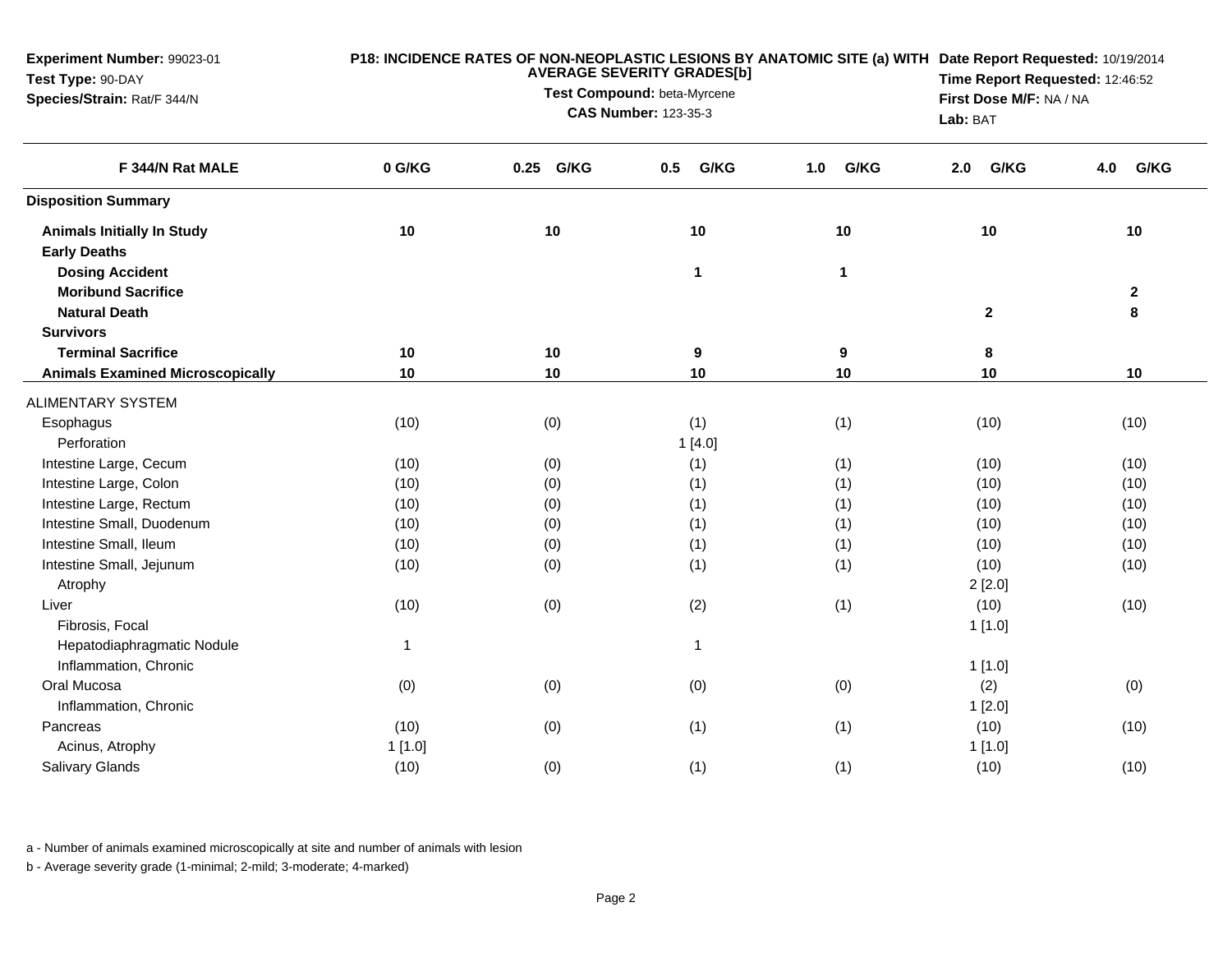| 0 G/KG<br>F 344/N Rat MALE<br>0.25 G/KG<br>G/KG<br>G/KG<br>G/KG<br>G/KG<br>0.5<br>1.0<br>4.0<br>2.0<br><b>Disposition Summary</b><br>10<br>10<br>10<br>10<br>10<br><b>Animals Initially In Study</b><br>10<br><b>Early Deaths</b><br><b>Dosing Accident</b><br>1<br>$\mathbf{1}$<br><b>Moribund Sacrifice</b><br>$\mathbf{2}$<br><b>Natural Death</b><br>$\mathbf{2}$<br>8<br><b>Survivors</b><br>$10$<br><b>Terminal Sacrifice</b><br>10<br>$\boldsymbol{9}$<br>9<br>8<br>10<br>10<br>10<br>10<br>10<br>$10$<br><b>Animals Examined Microscopically</b><br><b>ALIMENTARY SYSTEM</b><br>(0)<br>(1)<br>(1)<br>(10)<br>(10)<br>(10)<br>Esophagus<br>Perforation<br>1[4.0]<br>(1)<br>Intestine Large, Cecum<br>(10)<br>(0)<br>(1)<br>(10)<br>(10)<br>Intestine Large, Colon<br>(0)<br>(1)<br>(1)<br>(10)<br>(10)<br>(10)<br>Intestine Large, Rectum<br>(1)<br>(10)<br>(0)<br>(1)<br>(10)<br>(10)<br>Intestine Small, Duodenum<br>(1)<br>(0)<br>(1)<br>(10)<br>(10)<br>(10)<br>Intestine Small, Ileum<br>(1)<br>(10)<br>(0)<br>(1)<br>(10)<br>(10)<br>Intestine Small, Jejunum<br>(10)<br>(0)<br>(1)<br>(1)<br>(10)<br>(10)<br>Atrophy<br>2[2.0]<br>(0)<br>(2)<br>(1)<br>(10)<br>(10)<br>Liver<br>(10)<br>Fibrosis, Focal<br>1[1.0]<br>Hepatodiaphragmatic Nodule<br>$\mathbf{1}$<br>$\overline{1}$<br>Inflammation, Chronic<br>1[1.0]<br>(0)<br>(0)<br>(0)<br>Oral Mucosa<br>(0)<br>(2)<br>(0)<br>Inflammation, Chronic<br>1[2.0]<br>(1)<br>(10)<br>(10)<br>(0)<br>(1)<br>(10)<br>Pancreas<br>1[1.0]<br>1[1.0]<br>Acinus, Atrophy<br>Salivary Glands | Experiment Number: 99023-01<br>Test Type: 90-DAY<br>Species/Strain: Rat/F 344/N |      | P18: INCIDENCE RATES OF NON-NEOPLASTIC LESIONS BY ANATOMIC SITE (a) WITH Date Report Requested: 10/19/2014<br>Time Report Requested: 12:46:52<br>First Dose M/F: NA / NA<br>Lab: BAT |     |     |      |      |
|---------------------------------------------------------------------------------------------------------------------------------------------------------------------------------------------------------------------------------------------------------------------------------------------------------------------------------------------------------------------------------------------------------------------------------------------------------------------------------------------------------------------------------------------------------------------------------------------------------------------------------------------------------------------------------------------------------------------------------------------------------------------------------------------------------------------------------------------------------------------------------------------------------------------------------------------------------------------------------------------------------------------------------------------------------------------------------------------------------------------------------------------------------------------------------------------------------------------------------------------------------------------------------------------------------------------------------------------------------------------------------------------------------------------------------------------------------------------------------------------------------------------------------------------------|---------------------------------------------------------------------------------|------|--------------------------------------------------------------------------------------------------------------------------------------------------------------------------------------|-----|-----|------|------|
|                                                                                                                                                                                                                                                                                                                                                                                                                                                                                                                                                                                                                                                                                                                                                                                                                                                                                                                                                                                                                                                                                                                                                                                                                                                                                                                                                                                                                                                                                                                                                   |                                                                                 |      |                                                                                                                                                                                      |     |     |      |      |
|                                                                                                                                                                                                                                                                                                                                                                                                                                                                                                                                                                                                                                                                                                                                                                                                                                                                                                                                                                                                                                                                                                                                                                                                                                                                                                                                                                                                                                                                                                                                                   |                                                                                 |      |                                                                                                                                                                                      |     |     |      |      |
|                                                                                                                                                                                                                                                                                                                                                                                                                                                                                                                                                                                                                                                                                                                                                                                                                                                                                                                                                                                                                                                                                                                                                                                                                                                                                                                                                                                                                                                                                                                                                   |                                                                                 |      |                                                                                                                                                                                      |     |     |      |      |
|                                                                                                                                                                                                                                                                                                                                                                                                                                                                                                                                                                                                                                                                                                                                                                                                                                                                                                                                                                                                                                                                                                                                                                                                                                                                                                                                                                                                                                                                                                                                                   |                                                                                 |      |                                                                                                                                                                                      |     |     |      |      |
|                                                                                                                                                                                                                                                                                                                                                                                                                                                                                                                                                                                                                                                                                                                                                                                                                                                                                                                                                                                                                                                                                                                                                                                                                                                                                                                                                                                                                                                                                                                                                   |                                                                                 |      |                                                                                                                                                                                      |     |     |      |      |
|                                                                                                                                                                                                                                                                                                                                                                                                                                                                                                                                                                                                                                                                                                                                                                                                                                                                                                                                                                                                                                                                                                                                                                                                                                                                                                                                                                                                                                                                                                                                                   |                                                                                 |      |                                                                                                                                                                                      |     |     |      |      |
|                                                                                                                                                                                                                                                                                                                                                                                                                                                                                                                                                                                                                                                                                                                                                                                                                                                                                                                                                                                                                                                                                                                                                                                                                                                                                                                                                                                                                                                                                                                                                   |                                                                                 |      |                                                                                                                                                                                      |     |     |      |      |
|                                                                                                                                                                                                                                                                                                                                                                                                                                                                                                                                                                                                                                                                                                                                                                                                                                                                                                                                                                                                                                                                                                                                                                                                                                                                                                                                                                                                                                                                                                                                                   |                                                                                 |      |                                                                                                                                                                                      |     |     |      |      |
|                                                                                                                                                                                                                                                                                                                                                                                                                                                                                                                                                                                                                                                                                                                                                                                                                                                                                                                                                                                                                                                                                                                                                                                                                                                                                                                                                                                                                                                                                                                                                   |                                                                                 |      |                                                                                                                                                                                      |     |     |      |      |
|                                                                                                                                                                                                                                                                                                                                                                                                                                                                                                                                                                                                                                                                                                                                                                                                                                                                                                                                                                                                                                                                                                                                                                                                                                                                                                                                                                                                                                                                                                                                                   |                                                                                 |      |                                                                                                                                                                                      |     |     |      |      |
|                                                                                                                                                                                                                                                                                                                                                                                                                                                                                                                                                                                                                                                                                                                                                                                                                                                                                                                                                                                                                                                                                                                                                                                                                                                                                                                                                                                                                                                                                                                                                   |                                                                                 |      |                                                                                                                                                                                      |     |     |      |      |
|                                                                                                                                                                                                                                                                                                                                                                                                                                                                                                                                                                                                                                                                                                                                                                                                                                                                                                                                                                                                                                                                                                                                                                                                                                                                                                                                                                                                                                                                                                                                                   |                                                                                 |      |                                                                                                                                                                                      |     |     |      |      |
|                                                                                                                                                                                                                                                                                                                                                                                                                                                                                                                                                                                                                                                                                                                                                                                                                                                                                                                                                                                                                                                                                                                                                                                                                                                                                                                                                                                                                                                                                                                                                   |                                                                                 |      |                                                                                                                                                                                      |     |     |      |      |
|                                                                                                                                                                                                                                                                                                                                                                                                                                                                                                                                                                                                                                                                                                                                                                                                                                                                                                                                                                                                                                                                                                                                                                                                                                                                                                                                                                                                                                                                                                                                                   |                                                                                 |      |                                                                                                                                                                                      |     |     |      |      |
|                                                                                                                                                                                                                                                                                                                                                                                                                                                                                                                                                                                                                                                                                                                                                                                                                                                                                                                                                                                                                                                                                                                                                                                                                                                                                                                                                                                                                                                                                                                                                   |                                                                                 |      |                                                                                                                                                                                      |     |     |      |      |
|                                                                                                                                                                                                                                                                                                                                                                                                                                                                                                                                                                                                                                                                                                                                                                                                                                                                                                                                                                                                                                                                                                                                                                                                                                                                                                                                                                                                                                                                                                                                                   |                                                                                 |      |                                                                                                                                                                                      |     |     |      |      |
|                                                                                                                                                                                                                                                                                                                                                                                                                                                                                                                                                                                                                                                                                                                                                                                                                                                                                                                                                                                                                                                                                                                                                                                                                                                                                                                                                                                                                                                                                                                                                   |                                                                                 |      |                                                                                                                                                                                      |     |     |      |      |
|                                                                                                                                                                                                                                                                                                                                                                                                                                                                                                                                                                                                                                                                                                                                                                                                                                                                                                                                                                                                                                                                                                                                                                                                                                                                                                                                                                                                                                                                                                                                                   |                                                                                 |      |                                                                                                                                                                                      |     |     |      |      |
|                                                                                                                                                                                                                                                                                                                                                                                                                                                                                                                                                                                                                                                                                                                                                                                                                                                                                                                                                                                                                                                                                                                                                                                                                                                                                                                                                                                                                                                                                                                                                   |                                                                                 |      |                                                                                                                                                                                      |     |     |      |      |
|                                                                                                                                                                                                                                                                                                                                                                                                                                                                                                                                                                                                                                                                                                                                                                                                                                                                                                                                                                                                                                                                                                                                                                                                                                                                                                                                                                                                                                                                                                                                                   |                                                                                 |      |                                                                                                                                                                                      |     |     |      |      |
|                                                                                                                                                                                                                                                                                                                                                                                                                                                                                                                                                                                                                                                                                                                                                                                                                                                                                                                                                                                                                                                                                                                                                                                                                                                                                                                                                                                                                                                                                                                                                   |                                                                                 |      |                                                                                                                                                                                      |     |     |      |      |
|                                                                                                                                                                                                                                                                                                                                                                                                                                                                                                                                                                                                                                                                                                                                                                                                                                                                                                                                                                                                                                                                                                                                                                                                                                                                                                                                                                                                                                                                                                                                                   |                                                                                 |      |                                                                                                                                                                                      |     |     |      |      |
|                                                                                                                                                                                                                                                                                                                                                                                                                                                                                                                                                                                                                                                                                                                                                                                                                                                                                                                                                                                                                                                                                                                                                                                                                                                                                                                                                                                                                                                                                                                                                   |                                                                                 |      |                                                                                                                                                                                      |     |     |      |      |
|                                                                                                                                                                                                                                                                                                                                                                                                                                                                                                                                                                                                                                                                                                                                                                                                                                                                                                                                                                                                                                                                                                                                                                                                                                                                                                                                                                                                                                                                                                                                                   |                                                                                 |      |                                                                                                                                                                                      |     |     |      |      |
|                                                                                                                                                                                                                                                                                                                                                                                                                                                                                                                                                                                                                                                                                                                                                                                                                                                                                                                                                                                                                                                                                                                                                                                                                                                                                                                                                                                                                                                                                                                                                   |                                                                                 |      |                                                                                                                                                                                      |     |     |      |      |
|                                                                                                                                                                                                                                                                                                                                                                                                                                                                                                                                                                                                                                                                                                                                                                                                                                                                                                                                                                                                                                                                                                                                                                                                                                                                                                                                                                                                                                                                                                                                                   |                                                                                 |      |                                                                                                                                                                                      |     |     |      |      |
|                                                                                                                                                                                                                                                                                                                                                                                                                                                                                                                                                                                                                                                                                                                                                                                                                                                                                                                                                                                                                                                                                                                                                                                                                                                                                                                                                                                                                                                                                                                                                   |                                                                                 |      |                                                                                                                                                                                      |     |     |      |      |
|                                                                                                                                                                                                                                                                                                                                                                                                                                                                                                                                                                                                                                                                                                                                                                                                                                                                                                                                                                                                                                                                                                                                                                                                                                                                                                                                                                                                                                                                                                                                                   |                                                                                 |      |                                                                                                                                                                                      |     |     |      |      |
|                                                                                                                                                                                                                                                                                                                                                                                                                                                                                                                                                                                                                                                                                                                                                                                                                                                                                                                                                                                                                                                                                                                                                                                                                                                                                                                                                                                                                                                                                                                                                   |                                                                                 | (10) | (0)                                                                                                                                                                                  | (1) | (1) | (10) | (10) |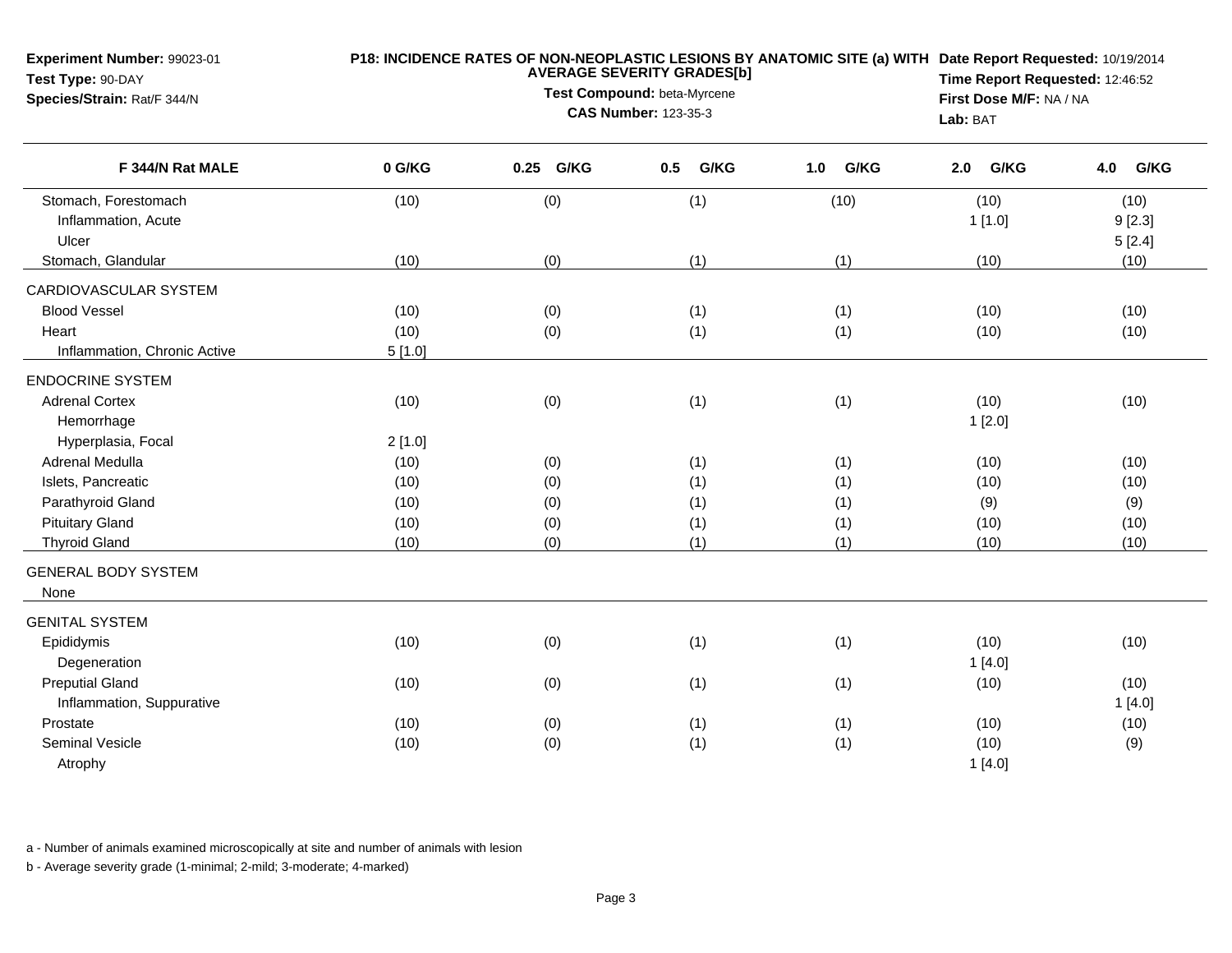| Experiment Number: 99023-01<br>Test Type: 90-DAY<br>Species/Strain: Rat/F 344/N |        | P18: INCIDENCE RATES OF NON-NEOPLASTIC LESIONS BY ANATOMIC SITE (a) WITH Date Report Requested: 10/19/2014<br>Time Report Requested: 12:46:52<br>First Dose M/F: NA / NA<br>Lab: BAT |             |             |             |             |
|---------------------------------------------------------------------------------|--------|--------------------------------------------------------------------------------------------------------------------------------------------------------------------------------------|-------------|-------------|-------------|-------------|
| F 344/N Rat MALE                                                                | 0 G/KG | 0.25 G/KG                                                                                                                                                                            | G/KG<br>0.5 | G/KG<br>1.0 | G/KG<br>2.0 | G/KG<br>4.0 |
| Stomach, Forestomach                                                            | (10)   | (0)                                                                                                                                                                                  | (1)         | (10)        | (10)        | (10)        |
| Inflammation, Acute                                                             |        |                                                                                                                                                                                      |             |             | 1[1.0]      | 9[2.3]      |
| Ulcer                                                                           |        |                                                                                                                                                                                      |             |             |             | 5[2.4]      |
| Stomach, Glandular                                                              | (10)   | (0)                                                                                                                                                                                  | (1)         | (1)         | (10)        | (10)        |
| CARDIOVASCULAR SYSTEM                                                           |        |                                                                                                                                                                                      |             |             |             |             |
| <b>Blood Vessel</b>                                                             | (10)   | (0)                                                                                                                                                                                  | (1)         | (1)         | (10)        | (10)        |
| Heart                                                                           | (10)   | (0)                                                                                                                                                                                  | (1)         | (1)         | (10)        | (10)        |
| Inflammation, Chronic Active                                                    | 5[1.0] |                                                                                                                                                                                      |             |             |             |             |
| <b>ENDOCRINE SYSTEM</b>                                                         |        |                                                                                                                                                                                      |             |             |             |             |
| <b>Adrenal Cortex</b>                                                           | (10)   | (0)                                                                                                                                                                                  | (1)         | (1)         | (10)        | (10)        |
| Hemorrhage                                                                      |        |                                                                                                                                                                                      |             |             | 1[2.0]      |             |
| Hyperplasia, Focal                                                              | 2[1.0] |                                                                                                                                                                                      |             |             |             |             |
| Adrenal Medulla                                                                 | (10)   | (0)                                                                                                                                                                                  | (1)         | (1)         | (10)        | (10)        |
| Islets, Pancreatic                                                              | (10)   | (0)                                                                                                                                                                                  | (1)         | (1)         | (10)        | (10)        |
| Parathyroid Gland                                                               | (10)   | (0)                                                                                                                                                                                  | (1)         | (1)         | (9)         | (9)         |
| <b>Pituitary Gland</b>                                                          | (10)   | (0)                                                                                                                                                                                  | (1)         | (1)         | (10)        | (10)        |
| <b>Thyroid Gland</b>                                                            | (10)   | (0)                                                                                                                                                                                  | (1)         | (1)         | (10)        | (10)        |
| <b>GENERAL BODY SYSTEM</b>                                                      |        |                                                                                                                                                                                      |             |             |             |             |
| None                                                                            |        |                                                                                                                                                                                      |             |             |             |             |
| <b>GENITAL SYSTEM</b>                                                           |        |                                                                                                                                                                                      |             |             |             |             |
| Epididymis                                                                      | (10)   | (0)                                                                                                                                                                                  | (1)         | (1)         | (10)        | (10)        |
| Degeneration                                                                    |        |                                                                                                                                                                                      |             |             | 1[4.0]      |             |
| <b>Preputial Gland</b>                                                          | (10)   | (0)                                                                                                                                                                                  | (1)         | (1)         | (10)        | (10)        |
| Inflammation, Suppurative                                                       |        |                                                                                                                                                                                      |             |             |             | 1[4.0]      |
| Prostate                                                                        | (10)   | (0)                                                                                                                                                                                  | (1)         | (1)         | (10)        | (10)        |
| Seminal Vesicle                                                                 | (10)   | (0)                                                                                                                                                                                  | (1)         | (1)         | (10)        | (9)         |
| Atrophy                                                                         |        |                                                                                                                                                                                      |             |             | 1[4.0]      |             |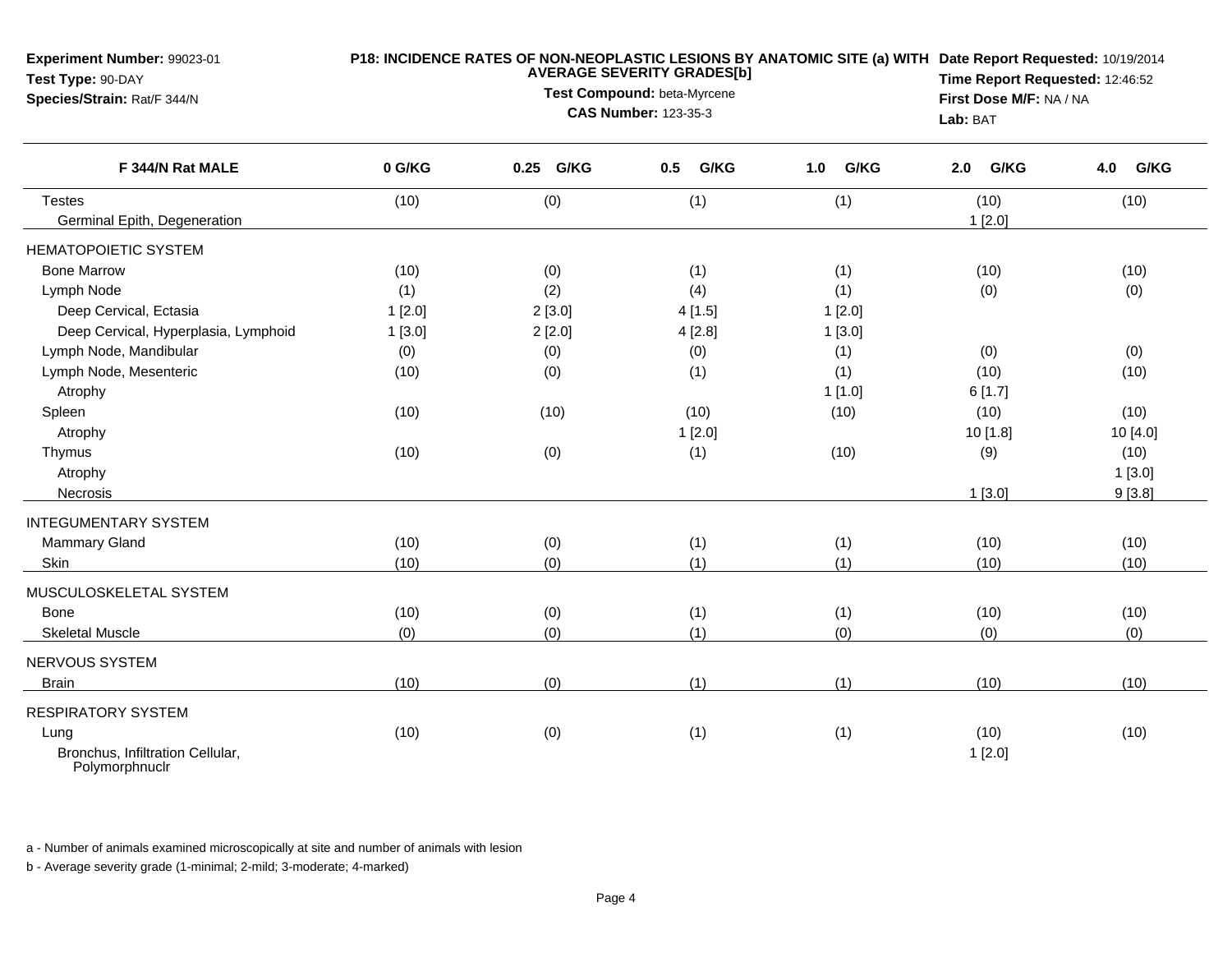| Experiment Number: 99023-01<br>Test Type: 90-DAY<br>Species/Strain: Rat/F 344/N | P18: INCIDENCE RATES OF NON-NEOPLASTIC LESIONS BY ANATOMIC SITE (a) WITH Date Report Requested: 10/19/2014<br><b>AVERAGE SEVERITY GRADES[b]</b><br>Test Compound: beta-Myrcene<br><b>CAS Number: 123-35-3</b> |           |             |             |             | Time Report Requested: 12:46:52<br>First Dose M/F: NA / NA<br>Lab: BAT |  |
|---------------------------------------------------------------------------------|---------------------------------------------------------------------------------------------------------------------------------------------------------------------------------------------------------------|-----------|-------------|-------------|-------------|------------------------------------------------------------------------|--|
| F 344/N Rat MALE                                                                | 0 G/KG                                                                                                                                                                                                        | 0.25 G/KG | G/KG<br>0.5 | 1.0<br>G/KG | G/KG<br>2.0 | G/KG<br>4.0                                                            |  |
| <b>Testes</b>                                                                   | (10)                                                                                                                                                                                                          | (0)       | (1)         | (1)         | (10)        | (10)                                                                   |  |
| Germinal Epith, Degeneration                                                    |                                                                                                                                                                                                               |           |             |             | 1[2.0]      |                                                                        |  |
| <b>HEMATOPOIETIC SYSTEM</b>                                                     |                                                                                                                                                                                                               |           |             |             |             |                                                                        |  |
| <b>Bone Marrow</b>                                                              | (10)                                                                                                                                                                                                          | (0)       | (1)         | (1)         | (10)        | (10)                                                                   |  |
| Lymph Node                                                                      | (1)                                                                                                                                                                                                           | (2)       | (4)         | (1)         | (0)         | (0)                                                                    |  |
| Deep Cervical, Ectasia                                                          | 1[2.0]                                                                                                                                                                                                        | 2[3.0]    | 4[1.5]      | 1[2.0]      |             |                                                                        |  |
| Deep Cervical, Hyperplasia, Lymphoid                                            | 1[3.0]                                                                                                                                                                                                        | 2[2.0]    | 4[2.8]      | 1[3.0]      |             |                                                                        |  |
| Lymph Node, Mandibular                                                          | (0)                                                                                                                                                                                                           | (0)       | (0)         | (1)         | (0)         | (0)                                                                    |  |
| Lymph Node, Mesenteric                                                          | (10)                                                                                                                                                                                                          | (0)       | (1)         | (1)         | (10)        | (10)                                                                   |  |
| Atrophy                                                                         |                                                                                                                                                                                                               |           |             | 1[1.0]      | 6[1.7]      |                                                                        |  |
| Spleen                                                                          | (10)                                                                                                                                                                                                          | (10)      | (10)        | (10)        | (10)        | (10)                                                                   |  |
| Atrophy                                                                         |                                                                                                                                                                                                               |           | 1[2.0]      |             | 10 [1.8]    | 10 [4.0]                                                               |  |
| Thymus                                                                          | (10)                                                                                                                                                                                                          | (0)       | (1)         | (10)        | (9)         | (10)                                                                   |  |
| Atrophy                                                                         |                                                                                                                                                                                                               |           |             |             |             | 1[3.0]                                                                 |  |
| Necrosis                                                                        |                                                                                                                                                                                                               |           |             |             | 1[3.0]      | 9[3.8]                                                                 |  |
| <b>INTEGUMENTARY SYSTEM</b>                                                     |                                                                                                                                                                                                               |           |             |             |             |                                                                        |  |
| Mammary Gland                                                                   | (10)                                                                                                                                                                                                          | (0)       | (1)         | (1)         | (10)        | (10)                                                                   |  |
| Skin                                                                            | (10)                                                                                                                                                                                                          | (0)       | (1)         | (1)         | (10)        | (10)                                                                   |  |
| MUSCULOSKELETAL SYSTEM                                                          |                                                                                                                                                                                                               |           |             |             |             |                                                                        |  |
| Bone                                                                            | (10)                                                                                                                                                                                                          | (0)       | (1)         | (1)         | (10)        | (10)                                                                   |  |
| <b>Skeletal Muscle</b>                                                          | (0)                                                                                                                                                                                                           | (0)       | (1)         | (0)         | (0)         | (0)                                                                    |  |
| NERVOUS SYSTEM                                                                  |                                                                                                                                                                                                               |           |             |             |             |                                                                        |  |
| <b>Brain</b>                                                                    | (10)                                                                                                                                                                                                          | (0)       | (1)         | (1)         | (10)        | (10)                                                                   |  |
| <b>RESPIRATORY SYSTEM</b>                                                       |                                                                                                                                                                                                               |           |             |             |             |                                                                        |  |
| Lung                                                                            | (10)                                                                                                                                                                                                          | (0)       | (1)         | (1)         | (10)        | (10)                                                                   |  |
| Bronchus, Infiltration Cellular,<br>Polymorphnuclr                              |                                                                                                                                                                                                               |           |             |             | 1[2.0]      |                                                                        |  |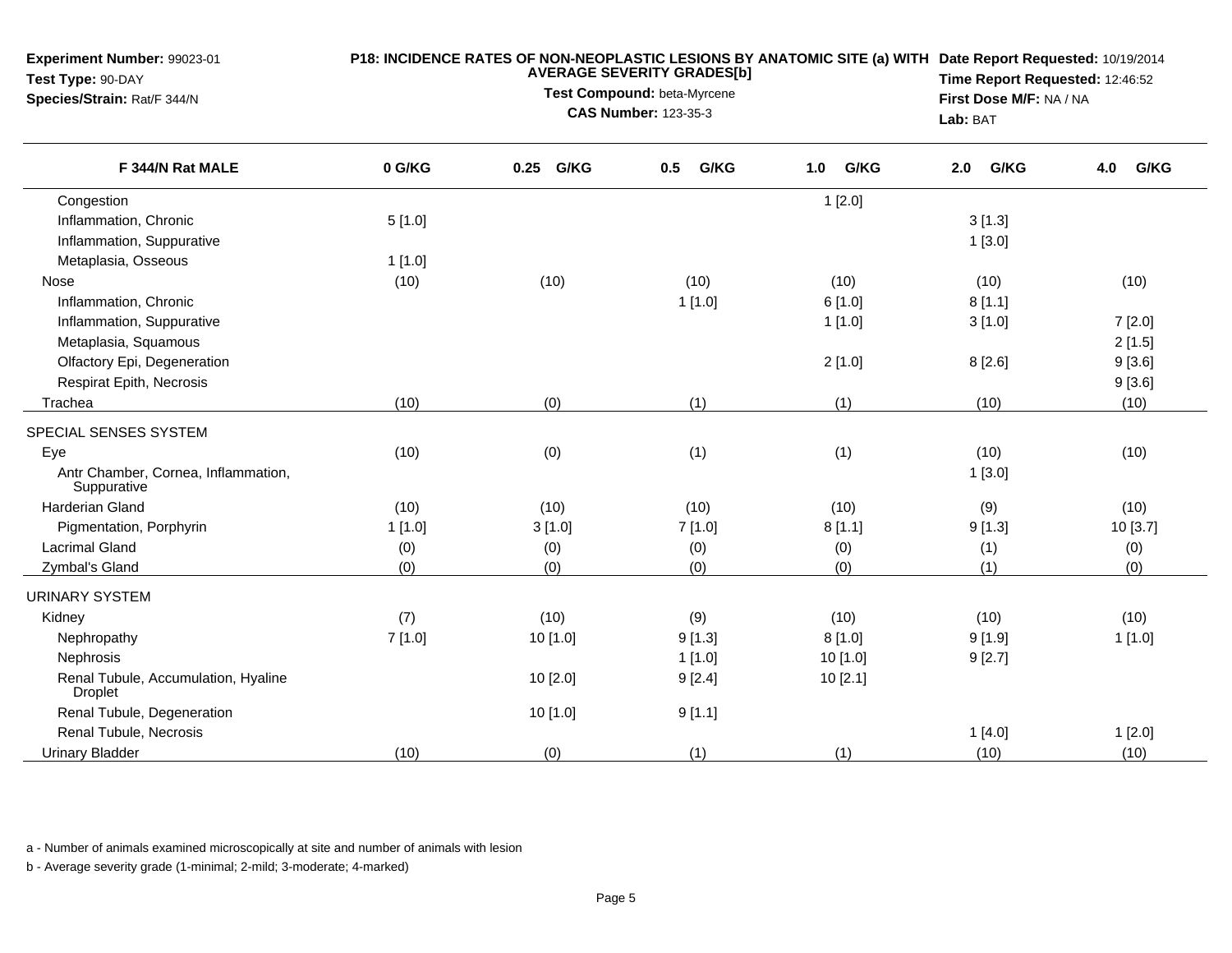| <b>Experiment Number: 99023-01</b><br>Test Type: 90-DAY<br>Species/Strain: Rat/F 344/N |        | Lab: BAT  | P18: INCIDENCE RATES OF NON-NEOPLASTIC LESIONS BY ANATOMIC SITE (a) WITH Date Report Requested: 10/19/2014<br>Time Report Requested: 12:46:52<br>First Dose M/F: NA / NA |             |             |             |
|----------------------------------------------------------------------------------------|--------|-----------|--------------------------------------------------------------------------------------------------------------------------------------------------------------------------|-------------|-------------|-------------|
| F 344/N Rat MALE                                                                       | 0 G/KG | 0.25 G/KG | G/KG<br>0.5                                                                                                                                                              | G/KG<br>1.0 | G/KG<br>2.0 | G/KG<br>4.0 |
| Congestion                                                                             |        |           |                                                                                                                                                                          | 1[2.0]      |             |             |
| Inflammation, Chronic                                                                  | 5[1.0] |           |                                                                                                                                                                          |             | 3[1.3]      |             |
| Inflammation, Suppurative                                                              |        |           |                                                                                                                                                                          |             | 1[3.0]      |             |
| Metaplasia, Osseous                                                                    | 1[1.0] |           |                                                                                                                                                                          |             |             |             |
| Nose                                                                                   | (10)   | (10)      | (10)                                                                                                                                                                     | (10)        | (10)        | (10)        |
| Inflammation, Chronic                                                                  |        |           | 1[1.0]                                                                                                                                                                   | 6[1.0]      | 8[1.1]      |             |
| Inflammation, Suppurative                                                              |        |           |                                                                                                                                                                          | 1[1.0]      | 3[1.0]      | 7[2.0]      |
| Metaplasia, Squamous                                                                   |        |           |                                                                                                                                                                          |             |             | 2[1.5]      |
| Olfactory Epi, Degeneration                                                            |        |           |                                                                                                                                                                          | 2[1.0]      | 8[2.6]      | 9[3.6]      |
| Respirat Epith, Necrosis                                                               |        |           |                                                                                                                                                                          |             |             | 9[3.6]      |
| Trachea                                                                                | (10)   | (0)       | (1)                                                                                                                                                                      | (1)         | (10)        | (10)        |
| SPECIAL SENSES SYSTEM                                                                  |        |           |                                                                                                                                                                          |             |             |             |
| Eye                                                                                    | (10)   | (0)       | (1)                                                                                                                                                                      | (1)         | (10)        | (10)        |
| Antr Chamber, Cornea, Inflammation,<br>Suppurative                                     |        |           |                                                                                                                                                                          |             | 1[3.0]      |             |
| Harderian Gland                                                                        | (10)   | (10)      | (10)                                                                                                                                                                     | (10)        | (9)         | (10)        |
| Pigmentation, Porphyrin                                                                | 1[1.0] | 3[1.0]    | 7[1.0]                                                                                                                                                                   | 8[1.1]      | 9[1.3]      | 10 [3.7]    |
| <b>Lacrimal Gland</b>                                                                  | (0)    | (0)       | (0)                                                                                                                                                                      | (0)         | (1)         | (0)         |
| Zymbal's Gland                                                                         | (0)    | (0)       | (0)                                                                                                                                                                      | (0)         | (1)         | (0)         |
| <b>URINARY SYSTEM</b>                                                                  |        |           |                                                                                                                                                                          |             |             |             |
| Kidney                                                                                 | (7)    | (10)      | (9)                                                                                                                                                                      | (10)        | (10)        | (10)        |
| Nephropathy                                                                            | 7[1.0] | 10 [1.0]  | 9[1.3]                                                                                                                                                                   | 8[1.0]      | 9[1.9]      | 1[1.0]      |
| Nephrosis                                                                              |        |           | 1[1.0]                                                                                                                                                                   | $10$ [1.0]  | 9[2.7]      |             |
| Renal Tubule, Accumulation, Hyaline<br><b>Droplet</b>                                  |        | 10 [2.0]  | 9[2.4]                                                                                                                                                                   | 10[2.1]     |             |             |
| Renal Tubule, Degeneration                                                             |        | 10 [1.0]  | 9[1.1]                                                                                                                                                                   |             |             |             |
| Renal Tubule, Necrosis                                                                 |        |           |                                                                                                                                                                          |             | 1[4.0]      | 1[2.0]      |
| <b>Urinary Bladder</b>                                                                 | (10)   | (0)       | (1)                                                                                                                                                                      | (1)         | (10)        | (10)        |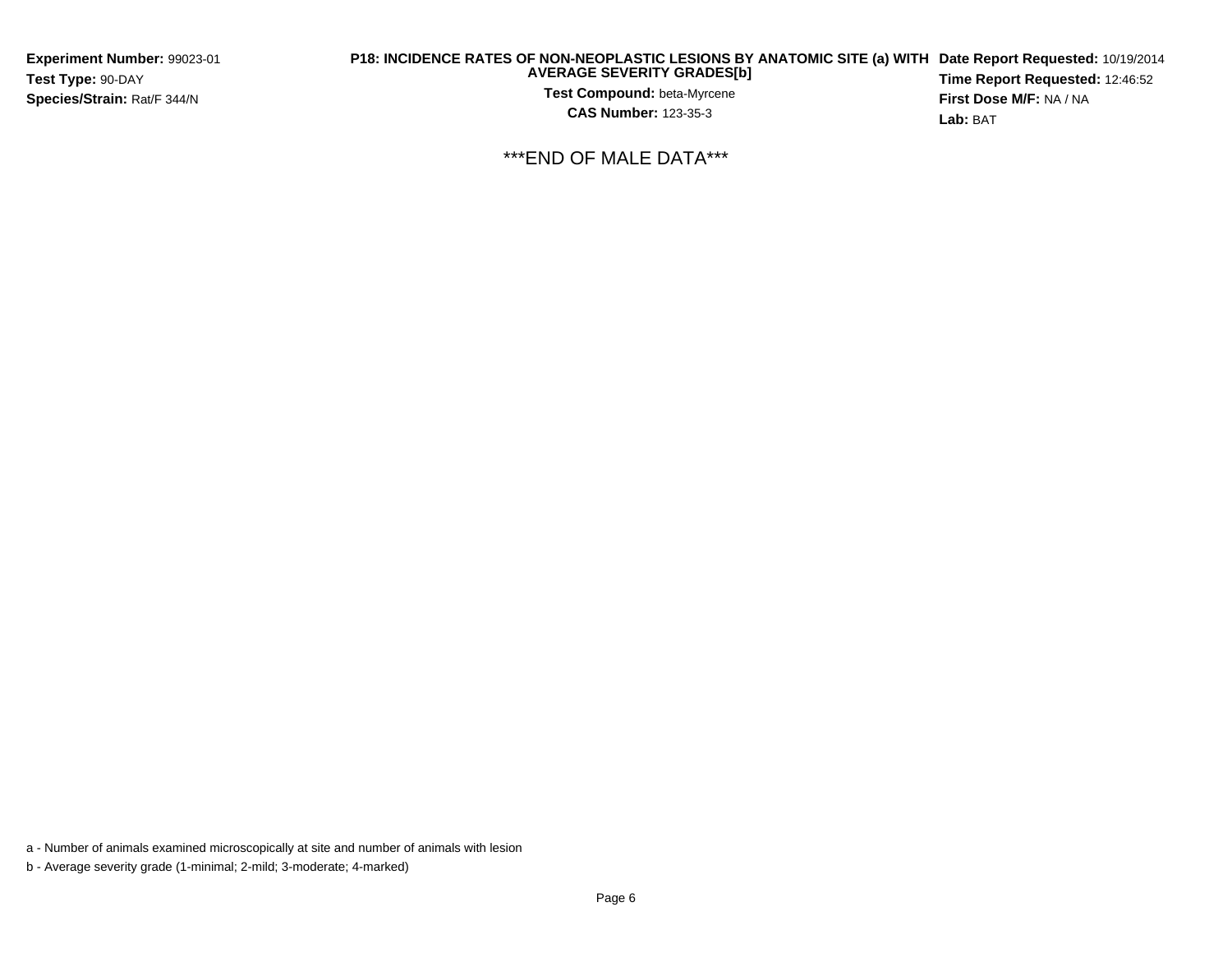**Experiment Number:** 99023-01**Test Type:** 90-DAY**Species/Strain:** Rat/F 344/N

## **P18: INCIDENCE RATES OF NON-NEOPLASTIC LESIONS BY ANATOMIC SITE (a) WITH AVERAGE SEVERITY GRADES[b] Date Report Requested:** 10/19/2014

**Test Compound:** beta-Myrcene**CAS Number:** 123-35-3

**Time Report Requested:** 12:46:52**First Dose M/F:** NA / NA**Lab:** BAT

\*\*\*END OF MALE DATA\*\*\*

a - Number of animals examined microscopically at site and number of animals with lesion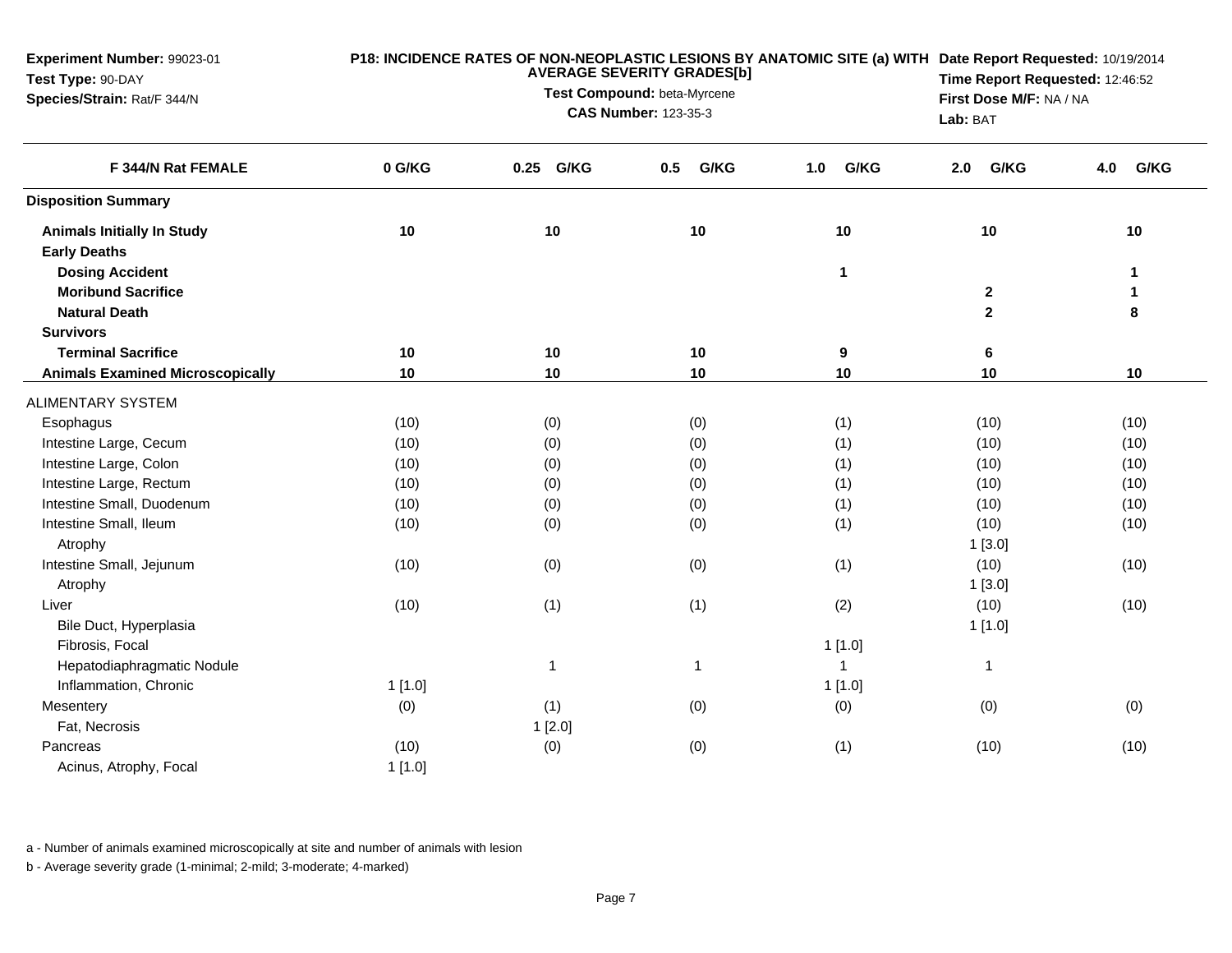| Experiment Number: 99023-01<br>Test Type: 90-DAY<br>Species/Strain: Rat/F 344/N |        | Lab: BAT     | P18: INCIDENCE RATES OF NON-NEOPLASTIC LESIONS BY ANATOMIC SITE (a) WITH Date Report Requested: 10/19/2014<br>Time Report Requested: 12:46:52<br>First Dose M/F: NA / NA |              |              |             |
|---------------------------------------------------------------------------------|--------|--------------|--------------------------------------------------------------------------------------------------------------------------------------------------------------------------|--------------|--------------|-------------|
| F 344/N Rat FEMALE                                                              | 0 G/KG | G/KG<br>0.25 | G/KG<br>0.5                                                                                                                                                              | G/KG<br>1.0  | G/KG<br>2.0  | G/KG<br>4.0 |
| <b>Disposition Summary</b>                                                      |        |              |                                                                                                                                                                          |              |              |             |
| <b>Animals Initially In Study</b><br><b>Early Deaths</b>                        | 10     | 10           | 10                                                                                                                                                                       | 10           | 10           | 10          |
| <b>Dosing Accident</b>                                                          |        |              |                                                                                                                                                                          | 1            |              | 1           |
| <b>Moribund Sacrifice</b>                                                       |        |              |                                                                                                                                                                          |              | $\mathbf{2}$ | 1           |
| <b>Natural Death</b>                                                            |        |              |                                                                                                                                                                          |              | $\mathbf{2}$ | 8           |
| <b>Survivors</b>                                                                |        |              |                                                                                                                                                                          |              |              |             |
| <b>Terminal Sacrifice</b>                                                       | 10     | 10           | 10                                                                                                                                                                       | 9            | 6            |             |
| <b>Animals Examined Microscopically</b>                                         | 10     | 10           | 10                                                                                                                                                                       | 10           | 10           | 10          |
| ALIMENTARY SYSTEM                                                               |        |              |                                                                                                                                                                          |              |              |             |
| Esophagus                                                                       | (10)   | (0)          | (0)                                                                                                                                                                      | (1)          | (10)         | (10)        |
| Intestine Large, Cecum                                                          | (10)   | (0)          | (0)                                                                                                                                                                      | (1)          | (10)         | (10)        |
| Intestine Large, Colon                                                          | (10)   | (0)          | (0)                                                                                                                                                                      | (1)          | (10)         | (10)        |
| Intestine Large, Rectum                                                         | (10)   | (0)          | (0)                                                                                                                                                                      | (1)          | (10)         | (10)        |
| Intestine Small, Duodenum                                                       | (10)   | (0)          | (0)                                                                                                                                                                      | (1)          | (10)         | (10)        |
| Intestine Small, Ileum                                                          | (10)   | (0)          | (0)                                                                                                                                                                      | (1)          | (10)         | (10)        |
| Atrophy                                                                         |        |              |                                                                                                                                                                          |              | 1[3.0]       |             |
| Intestine Small, Jejunum                                                        | (10)   | (0)          | (0)                                                                                                                                                                      | (1)          | (10)         | (10)        |
| Atrophy                                                                         |        |              |                                                                                                                                                                          |              | 1[3.0]       |             |
| Liver                                                                           | (10)   | (1)          | (1)                                                                                                                                                                      | (2)          | (10)         | (10)        |
| Bile Duct, Hyperplasia                                                          |        |              |                                                                                                                                                                          |              | 1[1.0]       |             |
| Fibrosis, Focal                                                                 |        |              |                                                                                                                                                                          | 1[1.0]       |              |             |
| Hepatodiaphragmatic Nodule                                                      |        | 1            | $\mathbf{1}$                                                                                                                                                             | $\mathbf{1}$ | $\mathbf{1}$ |             |
| Inflammation, Chronic                                                           | 1[1.0] |              |                                                                                                                                                                          | 1[1.0]       |              |             |
| Mesentery                                                                       | (0)    | (1)          | (0)                                                                                                                                                                      | (0)          | (0)          | (0)         |
| Fat, Necrosis                                                                   |        | 1[2.0]       |                                                                                                                                                                          |              |              |             |
| Pancreas                                                                        | (10)   | (0)          | (0)                                                                                                                                                                      | (1)          | (10)         | (10)        |
| Acinus, Atrophy, Focal                                                          | 1[1.0] |              |                                                                                                                                                                          |              |              |             |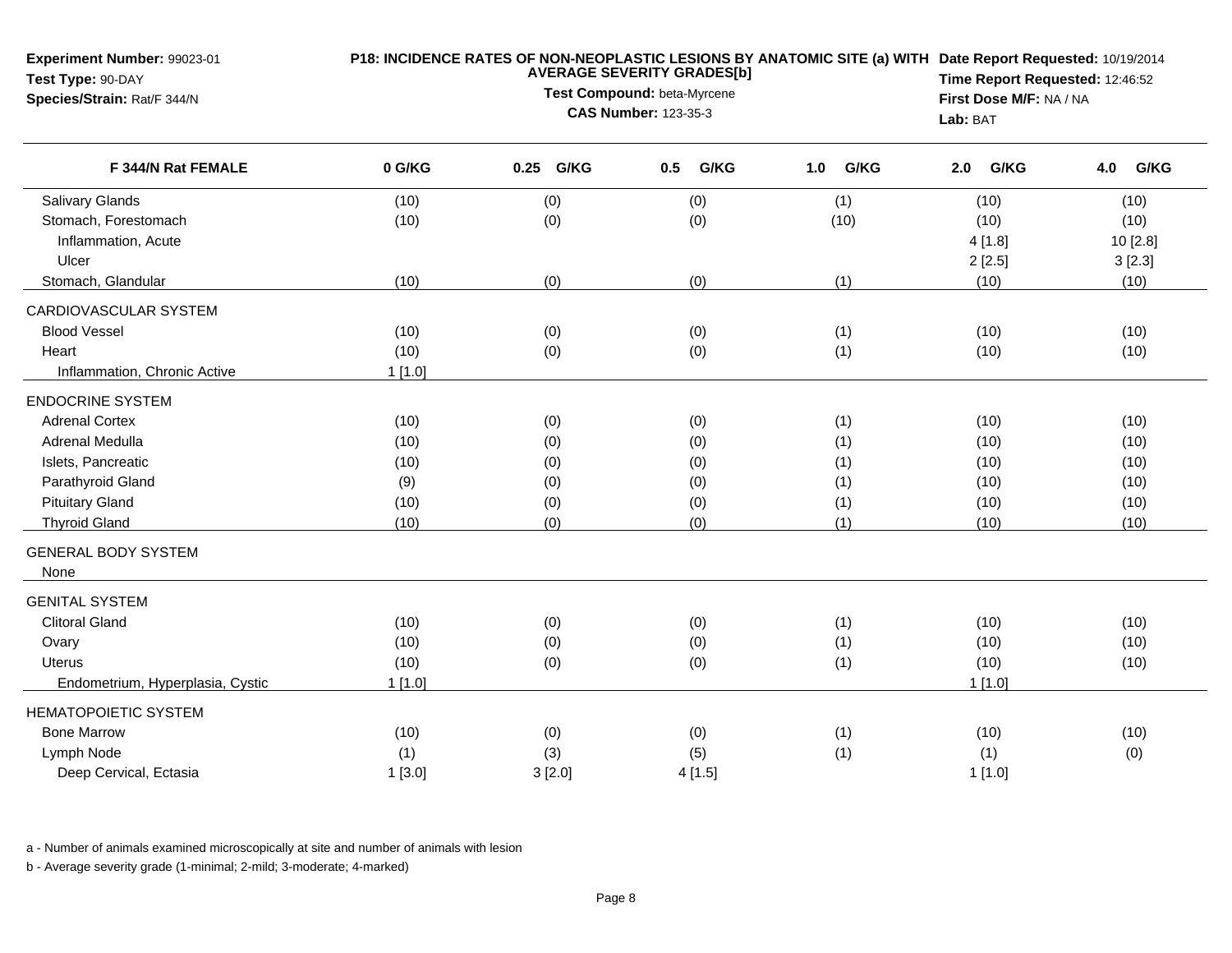| Experiment Number: 99023-01<br>Test Type: 90-DAY<br>Species/Strain: Rat/F 344/N | P18: INCIDENCE RATES OF NON-NEOPLASTIC LESIONS BY ANATOMIC SITE (a) WITH Date Report Requested: 10/19/2014<br><b>AVERAGE SEVERITY GRADES[b]</b><br>Test Compound: beta-Myrcene<br><b>CAS Number: 123-35-3</b> |           |             |             | Lab: BAT    | Time Report Requested: 12:46:52<br>First Dose M/F: NA / NA |  |
|---------------------------------------------------------------------------------|---------------------------------------------------------------------------------------------------------------------------------------------------------------------------------------------------------------|-----------|-------------|-------------|-------------|------------------------------------------------------------|--|
| F 344/N Rat FEMALE                                                              | 0 G/KG                                                                                                                                                                                                        | 0.25 G/KG | G/KG<br>0.5 | 1.0<br>G/KG | G/KG<br>2.0 | 4.0<br>G/KG                                                |  |
| Salivary Glands                                                                 | (10)                                                                                                                                                                                                          | (0)       | (0)         | (1)         | (10)        | (10)                                                       |  |
| Stomach, Forestomach                                                            | (10)                                                                                                                                                                                                          | (0)       | (0)         | (10)        | (10)        | (10)                                                       |  |
| Inflammation, Acute                                                             |                                                                                                                                                                                                               |           |             |             | 4[1.8]      | 10 [2.8]                                                   |  |
| Ulcer                                                                           |                                                                                                                                                                                                               |           |             |             | 2[2.5]      | 3[2.3]                                                     |  |
| Stomach, Glandular                                                              | (10)                                                                                                                                                                                                          | (0)       | (0)         | (1)         | (10)        | (10)                                                       |  |
| CARDIOVASCULAR SYSTEM                                                           |                                                                                                                                                                                                               |           |             |             |             |                                                            |  |
| <b>Blood Vessel</b>                                                             | (10)                                                                                                                                                                                                          | (0)       | (0)         | (1)         | (10)        | (10)                                                       |  |
| Heart                                                                           | (10)                                                                                                                                                                                                          | (0)       | (0)         | (1)         | (10)        | (10)                                                       |  |
| Inflammation, Chronic Active                                                    | $1$ [1.0]                                                                                                                                                                                                     |           |             |             |             |                                                            |  |
| <b>ENDOCRINE SYSTEM</b>                                                         |                                                                                                                                                                                                               |           |             |             |             |                                                            |  |
| <b>Adrenal Cortex</b>                                                           | (10)                                                                                                                                                                                                          | (0)       | (0)         | (1)         | (10)        | (10)                                                       |  |
| Adrenal Medulla                                                                 | (10)                                                                                                                                                                                                          | (0)       | (0)         | (1)         | (10)        | (10)                                                       |  |
| Islets, Pancreatic                                                              | (10)                                                                                                                                                                                                          | (0)       | (0)         | (1)         | (10)        | (10)                                                       |  |
| Parathyroid Gland                                                               | (9)                                                                                                                                                                                                           | (0)       | (0)         | (1)         | (10)        | (10)                                                       |  |
| <b>Pituitary Gland</b>                                                          | (10)                                                                                                                                                                                                          | (0)       | (0)         | (1)         | (10)        | (10)                                                       |  |
| <b>Thyroid Gland</b>                                                            | (10)                                                                                                                                                                                                          | (0)       | (0)         | (1)         | (10)        | (10)                                                       |  |
| <b>GENERAL BODY SYSTEM</b><br>None                                              |                                                                                                                                                                                                               |           |             |             |             |                                                            |  |
| <b>GENITAL SYSTEM</b>                                                           |                                                                                                                                                                                                               |           |             |             |             |                                                            |  |
| <b>Clitoral Gland</b>                                                           | (10)                                                                                                                                                                                                          | (0)       | (0)         | (1)         | (10)        | (10)                                                       |  |
| Ovary                                                                           | (10)                                                                                                                                                                                                          | (0)       | (0)         | (1)         | (10)        | (10)                                                       |  |
| Uterus                                                                          | (10)                                                                                                                                                                                                          | (0)       | (0)         | (1)         | (10)        | (10)                                                       |  |
| Endometrium, Hyperplasia, Cystic                                                | 1[1.0]                                                                                                                                                                                                        |           |             |             | 1[1.0]      |                                                            |  |
| <b>HEMATOPOIETIC SYSTEM</b>                                                     |                                                                                                                                                                                                               |           |             |             |             |                                                            |  |
| <b>Bone Marrow</b>                                                              | (10)                                                                                                                                                                                                          | (0)       | (0)         | (1)         | (10)        | (10)                                                       |  |
| Lymph Node                                                                      | (1)                                                                                                                                                                                                           | (3)       | (5)         | (1)         | (1)         | (0)                                                        |  |
| Deep Cervical, Ectasia                                                          | 1[3.0]                                                                                                                                                                                                        | 3[2.0]    | 4[1.5]      |             | 1[1.0]      |                                                            |  |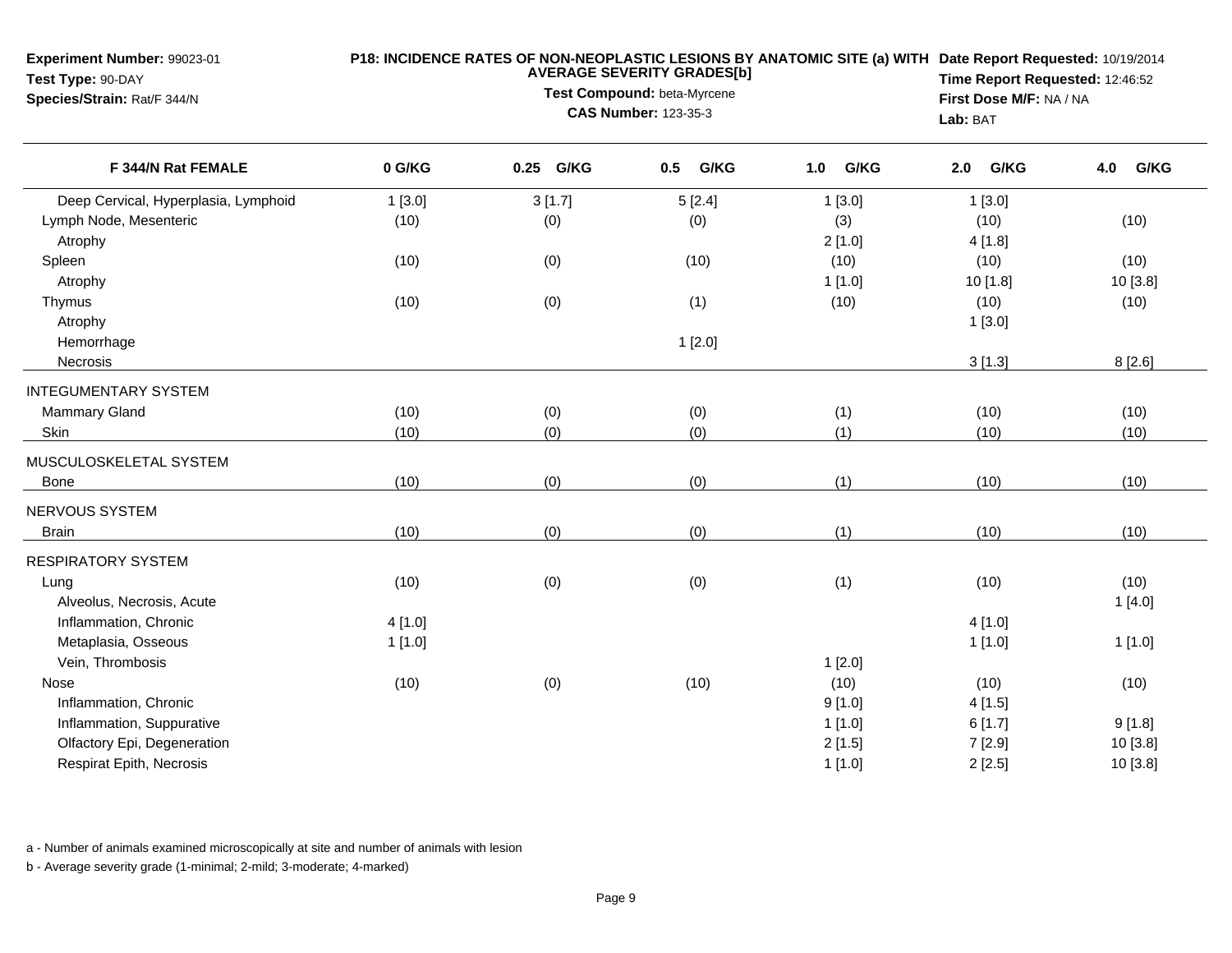| Experiment Number: 99023-01<br>Test Type: 90-DAY<br>Species/Strain: Rat/F 344/N | P18: INCIDENCE RATES OF NON-NEOPLASTIC LESIONS BY ANATOMIC SITE (a) WITH Date Report Requested: 10/19/2014<br><b>AVERAGE SEVERITY GRADES[b]</b><br>Test Compound: beta-Myrcene<br><b>CAS Number: 123-35-3</b> |           |             |             |             | Time Report Requested: 12:46:52<br>First Dose M/F: NA / NA<br>Lab: BAT |  |
|---------------------------------------------------------------------------------|---------------------------------------------------------------------------------------------------------------------------------------------------------------------------------------------------------------|-----------|-------------|-------------|-------------|------------------------------------------------------------------------|--|
| F 344/N Rat FEMALE                                                              | 0 G/KG                                                                                                                                                                                                        | 0.25 G/KG | G/KG<br>0.5 | G/KG<br>1.0 | G/KG<br>2.0 | G/KG<br>4.0                                                            |  |
| Deep Cervical, Hyperplasia, Lymphoid                                            | 1[3.0]                                                                                                                                                                                                        | 3[1.7]    | 5[2.4]      | 1[3.0]      | 1[3.0]      |                                                                        |  |
| Lymph Node, Mesenteric                                                          | (10)                                                                                                                                                                                                          | (0)       | (0)         | (3)         | (10)        | (10)                                                                   |  |
| Atrophy                                                                         |                                                                                                                                                                                                               |           |             | 2[1.0]      | 4 [1.8]     |                                                                        |  |
| Spleen                                                                          | (10)                                                                                                                                                                                                          | (0)       | (10)        | (10)        | (10)        | (10)                                                                   |  |
| Atrophy                                                                         |                                                                                                                                                                                                               |           |             | 1[1.0]      | 10 [1.8]    | 10 [3.8]                                                               |  |
| Thymus                                                                          | (10)                                                                                                                                                                                                          | (0)       | (1)         | (10)        | (10)        | (10)                                                                   |  |
| Atrophy                                                                         |                                                                                                                                                                                                               |           |             |             | 1[3.0]      |                                                                        |  |
| Hemorrhage                                                                      |                                                                                                                                                                                                               |           | 1[2.0]      |             |             |                                                                        |  |
| Necrosis                                                                        |                                                                                                                                                                                                               |           |             |             | 3[1.3]      | 8[2.6]                                                                 |  |
| <b>INTEGUMENTARY SYSTEM</b>                                                     |                                                                                                                                                                                                               |           |             |             |             |                                                                        |  |
| Mammary Gland                                                                   | (10)                                                                                                                                                                                                          | (0)       | (0)         | (1)         | (10)        | (10)                                                                   |  |
| Skin                                                                            | (10)                                                                                                                                                                                                          | (0)       | (0)         | (1)         | (10)        | (10)                                                                   |  |
| MUSCULOSKELETAL SYSTEM                                                          |                                                                                                                                                                                                               |           |             |             |             |                                                                        |  |
| <b>Bone</b>                                                                     | (10)                                                                                                                                                                                                          | (0)       | (0)         | (1)         | (10)        | (10)                                                                   |  |
| NERVOUS SYSTEM                                                                  |                                                                                                                                                                                                               |           |             |             |             |                                                                        |  |
| <b>Brain</b>                                                                    | (10)                                                                                                                                                                                                          | (0)       | (0)         | (1)         | (10)        | (10)                                                                   |  |
| <b>RESPIRATORY SYSTEM</b>                                                       |                                                                                                                                                                                                               |           |             |             |             |                                                                        |  |
| Lung                                                                            | (10)                                                                                                                                                                                                          | (0)       | (0)         | (1)         | (10)        | (10)                                                                   |  |
| Alveolus, Necrosis, Acute                                                       |                                                                                                                                                                                                               |           |             |             |             | 1[4.0]                                                                 |  |
| Inflammation, Chronic                                                           | 4[1.0]                                                                                                                                                                                                        |           |             |             | 4[1.0]      |                                                                        |  |
| Metaplasia, Osseous                                                             | 1[1.0]                                                                                                                                                                                                        |           |             |             | 1[1.0]      | 1[1.0]                                                                 |  |
| Vein, Thrombosis                                                                |                                                                                                                                                                                                               |           |             | 1[2.0]      |             |                                                                        |  |
| Nose                                                                            | (10)                                                                                                                                                                                                          | (0)       | (10)        | (10)        | (10)        | (10)                                                                   |  |
| Inflammation, Chronic                                                           |                                                                                                                                                                                                               |           |             | 9[1.0]      | 4[1.5]      |                                                                        |  |
| Inflammation, Suppurative                                                       |                                                                                                                                                                                                               |           |             | 1[1.0]      | 6[1.7]      | 9[1.8]                                                                 |  |
| Olfactory Epi, Degeneration                                                     |                                                                                                                                                                                                               |           |             | 2[1.5]      | 7[2.9]      | 10 [3.8]                                                               |  |
| Respirat Epith, Necrosis                                                        |                                                                                                                                                                                                               |           |             | 1[1.0]      | 2[2.5]      | 10 [3.8]                                                               |  |